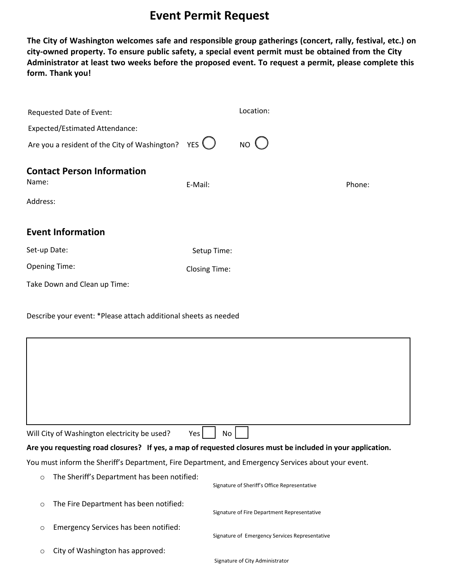## **Event Permit Request**

**The City of Washington welcomes safe and responsible group gatherings (concert, rally, festival, etc.) on city-owned property. To ensure public safety, a special event permit must be obtained from the City Administrator at least two weeks before the proposed event. To request a permit, please complete this form. Thank you!**

| Requested Date of Event:                                        |                      | Location:       |        |  |
|-----------------------------------------------------------------|----------------------|-----------------|--------|--|
| <b>Expected/Estimated Attendance:</b>                           |                      |                 |        |  |
| Are you a resident of the City of Washington? YES $\bigcirc$    |                      | NO <sub>Q</sub> |        |  |
| <b>Contact Person Information</b><br>Name:                      | E-Mail:              |                 | Phone: |  |
| Address:                                                        |                      |                 |        |  |
| <b>Event Information</b>                                        |                      |                 |        |  |
| Set-up Date:                                                    | Setup Time:          |                 |        |  |
| <b>Opening Time:</b>                                            | <b>Closing Time:</b> |                 |        |  |
| Take Down and Clean up Time:                                    |                      |                 |        |  |
| Describe your event: *Please attach additional sheets as needed |                      |                 |        |  |
|                                                                 |                      |                 |        |  |

| Will City of Washington electricity be used?                                                                | $Yes$   No                                                                                          |  |  |  |  |
|-------------------------------------------------------------------------------------------------------------|-----------------------------------------------------------------------------------------------------|--|--|--|--|
| Are you requesting road closures? If yes, a map of requested closures must be included in your application. |                                                                                                     |  |  |  |  |
|                                                                                                             | You must inform the Sheriff's Department, Fire Department, and Emergency Services about your event. |  |  |  |  |
| $\circ$ The Sheriff's Department has been notified:                                                         |                                                                                                     |  |  |  |  |

|          | $\circ$ and shortly substitution in this became the control of $\circ$ | Signature of Sheriff's Office Representative   |
|----------|------------------------------------------------------------------------|------------------------------------------------|
| $\Omega$ | The Fire Department has been notified:                                 |                                                |
|          |                                                                        | Signature of Fire Department Representative    |
| $\circ$  | Emergency Services has been notified:                                  |                                                |
|          |                                                                        | Signature of Emergency Services Representative |
| $\circ$  | City of Washington has approved:                                       |                                                |
|          |                                                                        | Signature of City Administrator                |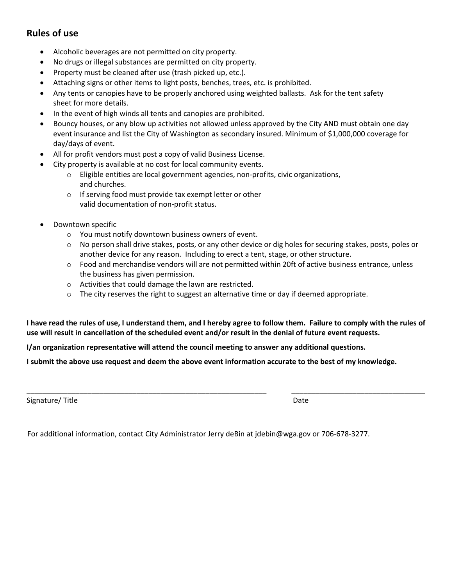## **Rules of use**

- Alcoholic beverages are not permitted on city property.
- No drugs or illegal substances are permitted on city property.
- Property must be cleaned after use (trash picked up, etc.).
- Attaching signs or other items to light posts, benches, trees, etc. is prohibited.
- Any tents or canopies have to be properly anchored using weighted ballasts. Ask for the tent safety sheet for more details.
- In the event of high winds all tents and canopies are prohibited.
- Bouncy houses, or any blow up activities not allowed unless approved by the City AND must obtain one day event insurance and list the City of Washington as secondary insured. Minimum of \$1,000,000 coverage for day/days of event.
- All for profit vendors must post a copy of valid Business License.
- City property is available at no cost for local community events.
	- o Eligible entities are local government agencies, non-profits, civic organizations, and churches.
	- o If serving food must provide tax exempt letter or other valid documentation of non-profit status.
- Downtown specific
	- o You must notify downtown business owners of event.
	- o No person shall drive stakes, posts, or any other device or dig holes for securing stakes, posts, poles or another device for any reason. Including to erect a tent, stage, or other structure.
	- $\circ$  Food and merchandise vendors will are not permitted within 20ft of active business entrance, unless the business has given permission.
	- o Activities that could damage the lawn are restricted.

\_\_\_\_\_\_\_\_\_\_\_\_\_\_\_\_\_\_\_\_\_\_\_\_\_\_\_\_\_\_\_\_\_\_\_\_\_\_\_\_\_\_\_\_\_\_\_\_\_\_\_\_\_\_\_\_\_\_\_

 $\circ$  The city reserves the right to suggest an alternative time or day if deemed appropriate.

**I have read the rules of use, I understand them, and I hereby agree to follow them. Failure to comply with the rules of use will result in cancellation of the scheduled event and/or result in the denial of future event requests.**

**I/an organization representative will attend the council meeting to answer any additional questions.** 

**I submit the above use request and deem the above event information accurate to the best of my knowledge.**

Signature/ Title

Date

\_\_\_\_\_\_\_\_\_\_\_\_\_\_\_\_\_\_\_\_\_\_\_\_\_\_\_\_\_\_\_\_\_

For additional information, contact City Administrator Jerry deBin at jdebin@wga.gov or 706-678-3277.